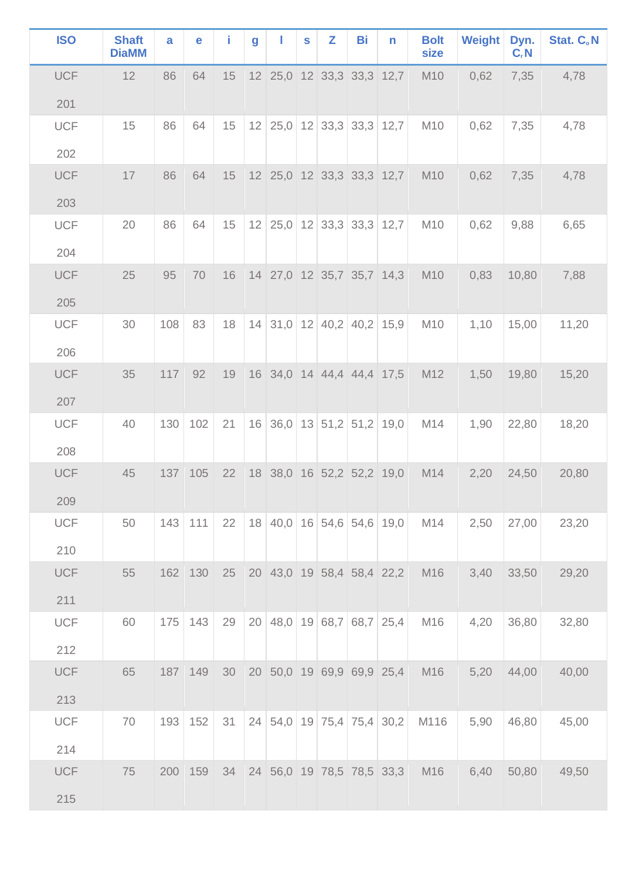| <b>ISO</b> | <b>Shaft</b><br><b>DiaMM</b> | a   | е       | î. | g  |                           | $\mathbf{s}$ | Z                        | Bi | n                         | <b>Bolt</b><br>size | Weight | Dyn.<br>$C_rN$ | Stat. C.N |
|------------|------------------------------|-----|---------|----|----|---------------------------|--------------|--------------------------|----|---------------------------|---------------------|--------|----------------|-----------|
| <b>UCF</b> | 12                           | 86  | 64      | 15 |    | 12 25,0 12 33,3 33,3 12,7 |              |                          |    |                           | M10                 | 0,62   | 7,35           | 4,78      |
| 201        |                              |     |         |    |    |                           |              |                          |    |                           |                     |        |                |           |
| <b>UCF</b> | 15                           | 86  | 64      | 15 |    | 12 25,0 12 33,3 33,3 12,7 |              |                          |    |                           | M10                 | 0,62   | 7,35           | 4,78      |
| 202        |                              |     |         |    |    |                           |              |                          |    |                           |                     |        |                |           |
| <b>UCF</b> | 17                           | 86  | 64      | 15 |    | 12 25,0 12 33,3 33,3 12,7 |              |                          |    |                           | M10                 | 0,62   | 7,35           | 4,78      |
| 203        |                              |     |         |    |    |                           |              |                          |    |                           |                     |        |                |           |
| <b>UCF</b> | 20                           | 86  | 64      | 15 | 12 |                           |              |                          |    | $25,0$ 12 33,3 33,3 12,7  | M10                 | 0,62   | 9,88           | 6,65      |
| 204        |                              |     |         |    |    |                           |              |                          |    |                           |                     |        |                |           |
| <b>UCF</b> | 25                           | 95  | 70      | 16 |    | 14 27,0 12 35,7 35,7 14,3 |              |                          |    |                           | M10                 | 0,83   | 10,80          | 7,88      |
| 205        |                              |     |         |    |    |                           |              |                          |    |                           |                     |        |                |           |
| <b>UCF</b> | 30                           | 108 | 83      | 18 | 14 |                           |              |                          |    | $31,0$ 12 40,2 40,2 15,9  | M10                 | 1,10   | 15,00          | 11,20     |
| 206        |                              |     |         |    |    |                           |              |                          |    |                           |                     |        |                |           |
| <b>UCF</b> | 35                           | 117 | 92      | 19 |    | 16 34,0 14 44,4 44,4 17,5 |              |                          |    |                           | M12                 | 1,50   | 19,80          | 15,20     |
| 207        |                              |     |         |    |    |                           |              |                          |    |                           |                     |        |                |           |
| <b>UCF</b> | 40                           | 130 | 102     | 21 | 16 |                           |              | $36,0$ 13 51,2 51,2 19,0 |    |                           | M14                 | 1,90   | 22,80          | 18,20     |
| 208        |                              |     |         |    |    |                           |              |                          |    |                           |                     |        |                |           |
| <b>UCF</b> | 45                           |     | 137 105 | 22 |    | 18 38,0 16 52,2 52,2 19,0 |              |                          |    |                           | M14                 | 2,20   | 24,50          | 20,80     |
| 209        |                              |     |         |    |    |                           |              |                          |    |                           |                     |        |                |           |
| <b>UCF</b> | 50                           | 143 | 111     | 22 |    |                           |              |                          |    | 18 40,0 16 54,6 54,6 19,0 | M14                 | 2,50   | 27,00          | 23,20     |
| 210        |                              |     |         |    |    |                           |              |                          |    |                           |                     |        |                |           |
| <b>UCF</b> | 55                           |     | 162 130 | 25 |    | 20 43,0 19 58,4 58,4 22,2 |              |                          |    |                           | M16                 | 3,40   | 33,50          | 29,20     |
| 211        |                              |     |         |    |    |                           |              |                          |    |                           |                     |        |                |           |
| <b>UCF</b> | 60                           | 175 | 143     | 29 |    |                           |              |                          |    | 20 48,0 19 68,7 68,7 25,4 | M16                 | 4,20   | 36,80          | 32,80     |
| 212        |                              |     |         |    |    |                           |              |                          |    |                           |                     |        |                |           |
| <b>UCF</b> | 65                           | 187 | 149     | 30 |    | 20 50,0 19 69,9 69,9 25,4 |              |                          |    |                           | M16                 | 5,20   | 44,00          | 40,00     |
| 213        |                              |     |         |    |    |                           |              |                          |    |                           |                     |        |                |           |
| <b>UCF</b> | 70                           | 193 | 152     | 31 |    |                           |              |                          |    | 24 54,0 19 75,4 75,4 30,2 | M116                | 5,90   | 46,80          | 45,00     |
| 214        |                              |     |         |    |    |                           |              |                          |    |                           |                     |        |                |           |
| <b>UCF</b> | 75                           | 200 | 159     | 34 |    |                           |              |                          |    | 24 56,0 19 78,5 78,5 33,3 | M16                 | 6,40   | 50,80          | 49,50     |
| 215        |                              |     |         |    |    |                           |              |                          |    |                           |                     |        |                |           |